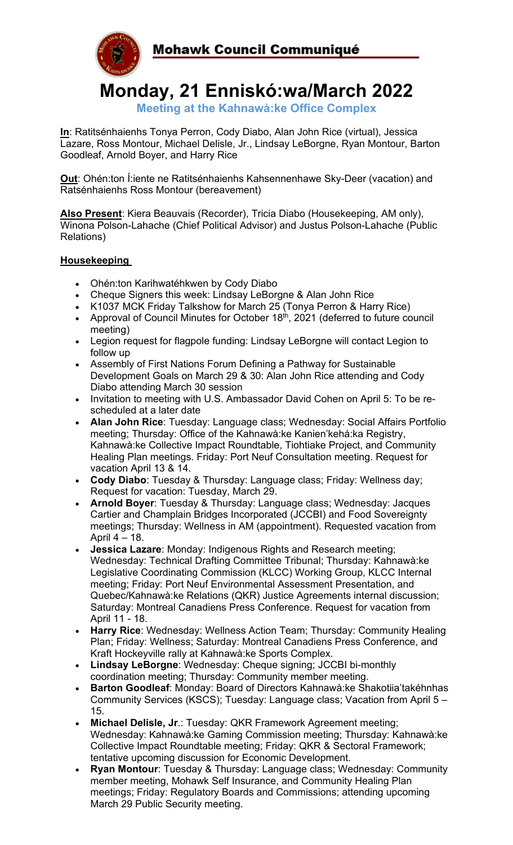

**Monday, 21 Enniskó:wa/March 2022**

**Meeting at the Kahnawà:ke Office Complex**

**In**: Ratitsénhaienhs Tonya Perron, Cody Diabo, Alan John Rice (virtual), Jessica Lazare, Ross Montour, Michael Delisle, Jr., Lindsay LeBorgne, Ryan Montour, Barton Goodleaf, Arnold Boyer, and Harry Rice

**Out**: Ohén:ton Í:iente ne Ratitsénhaienhs Kahsennenhawe Sky-Deer (vacation) and Ratsénhaienhs Ross Montour (bereavement)

**Also Present**: Kiera Beauvais (Recorder), Tricia Diabo (Housekeeping, AM only), Winona Polson-Lahache (Chief Political Advisor) and Justus Polson-Lahache (Public Relations)

# **Housekeeping**

- Ohén:ton Karihwatéhkwen by Cody Diabo
- Cheque Signers this week: Lindsay LeBorgne & Alan John Rice
- K1037 MCK Friday Talkshow for March 25 (Tonya Perron & Harry Rice)
- Approval of Council Minutes for October  $18<sup>th</sup>$ , 2021 (deferred to future council meeting)
- Legion request for flagpole funding: Lindsay LeBorgne will contact Legion to follow up
- Assembly of First Nations Forum Defining a Pathway for Sustainable Development Goals on March 29 & 30: Alan John Rice attending and Cody Diabo attending March 30 session
- Invitation to meeting with U.S. Ambassador David Cohen on April 5: To be rescheduled at a later date
- **Alan John Rice**: Tuesday: Language class; Wednesday: Social Affairs Portfolio meeting; Thursday: Office of the Kahnawà:ke Kanien'kehá:ka Registry, Kahnawà:ke Collective Impact Roundtable, Tiohtiake Project, and Community Healing Plan meetings. Friday: Port Neuf Consultation meeting. Request for vacation April 13 & 14.
- **Cody Diabo**: Tuesday & Thursday: Language class; Friday: Wellness day; Request for vacation: Tuesday, March 29.
- **Arnold Boyer**: Tuesday & Thursday: Language class; Wednesday: Jacques Cartier and Champlain Bridges Incorporated (JCCBI) and Food Sovereignty meetings; Thursday: Wellness in AM (appointment). Requested vacation from April 4 – 18.
- **Jessica Lazare**: Monday: Indigenous Rights and Research meeting; Wednesday: Technical Drafting Committee Tribunal; Thursday: Kahnawà:ke Legislative Coordinating Commission (KLCC) Working Group, KLCC Internal meeting; Friday: Port Neuf Environmental Assessment Presentation, and Quebec/Kahnawà:ke Relations (QKR) Justice Agreements internal discussion; Saturday: Montreal Canadiens Press Conference. Request for vacation from April 11 - 18.
- **Harry Rice**: Wednesday: Wellness Action Team; Thursday: Community Healing Plan; Friday: Wellness; Saturday: Montreal Canadiens Press Conference, and Kraft Hockeyville rally at Kahnawà:ke Sports Complex.
- **Lindsay LeBorgne**: Wednesday: Cheque signing; JCCBI bi-monthly coordination meeting; Thursday: Community member meeting.
- **Barton Goodleaf**: Monday: Board of Directors Kahnawà:ke Shakotiia'takéhnhas Community Services (KSCS); Tuesday: Language class; Vacation from April 5 – 15.
- **Michael Delisle, Jr**.: Tuesday: QKR Framework Agreement meeting; Wednesday: Kahnawà:ke Gaming Commission meeting; Thursday: Kahnawà:ke Collective Impact Roundtable meeting; Friday: QKR & Sectoral Framework; tentative upcoming discussion for Economic Development.
- **Ryan Montour**: Tuesday & Thursday: Language class; Wednesday: Community member meeting, Mohawk Self Insurance, and Community Healing Plan meetings; Friday: Regulatory Boards and Commissions; attending upcoming March 29 Public Security meeting.